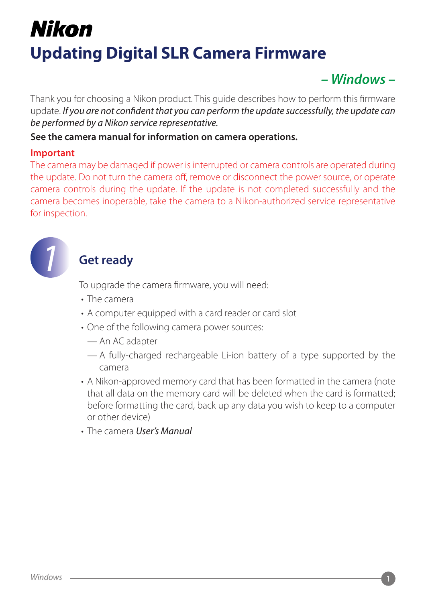# Nikon **Updating Digital SLR Camera Firmware**

# *– Windows –*

Thank you for choosing a Nikon product. This guide describes how to perform this firmware update. *If you are not confident that you can perform the update successfully, the update can be performed by a Nikon service representative.*

#### **See the camera manual for information on camera operations.**

#### **Important**

The camera may be damaged if power is interrupted or camera controls are operated during the update. Do not turn the camera off, remove or disconnect the power source, or operate camera controls during the update. If the update is not completed successfully and the camera becomes inoperable, take the camera to a Nikon-authorized service representative for inspection.



# *1* **Get ready**

To upgrade the camera firmware, you will need:

- The camera
- A computer equipped with a card reader or card slot
- One of the following camera power sources:
	- An AC adapter
	- A fully-charged rechargeable Li-ion battery of a type supported by the camera
- A Nikon-approved memory card that has been formatted in the camera (note that all data on the memory card will be deleted when the card is formatted; before formatting the card, back up any data you wish to keep to a computer or other device)
- The camera *User's Manual*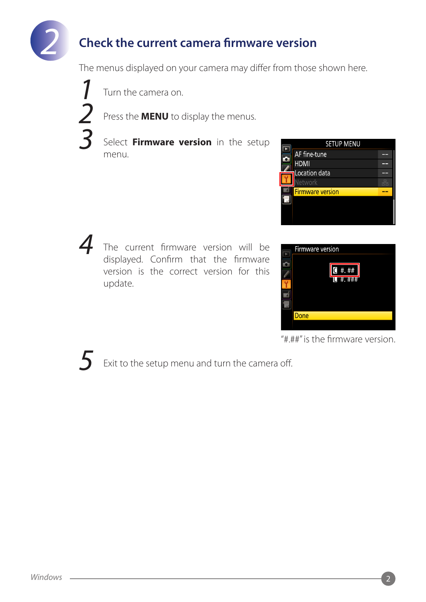

# *2* **Check the current camera firmware version**

The menus displayed on your camera may differ from those shown here.

*1* Turn the camera on.

*2* Press the **MENU** to display the menus.

*3* Select **Firmware version** in the setup menu.



*4* The current firmware version will be displayed. Confirm that the firmware version is the correct version for this update.



"#.##" is the firmware version.

Exit to the setup menu and turn the camera off.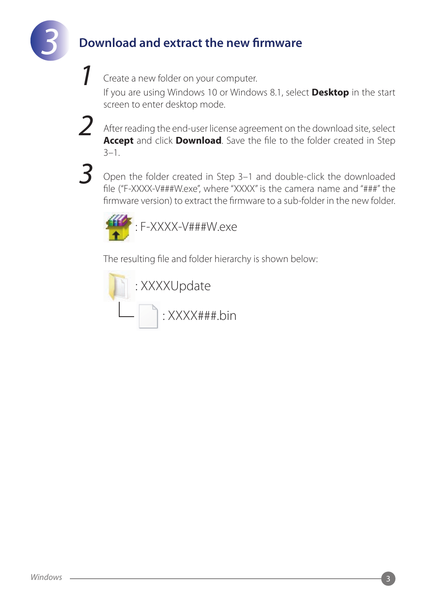

# *3* **Download and extract the new firmware**

*1* Create a new folder on your computer.

If you are using Windows 10 or Windows 8.1, select **Desktop** in the start screen to enter desktop mode.

*2* After reading the end-user license agreement on the download site, select **Accept** and click **Download**. Save the file to the folder created in Step 3–1.

*3* Open the folder created in Step 3–1 and double-click the downloaded file ("F-XXXX-V###W.exe", where "XXXX" is the camera name and "###" the firmware version) to extract the firmware to a sub-folder in the new folder.



The resulting file and folder hierarchy is shown below:

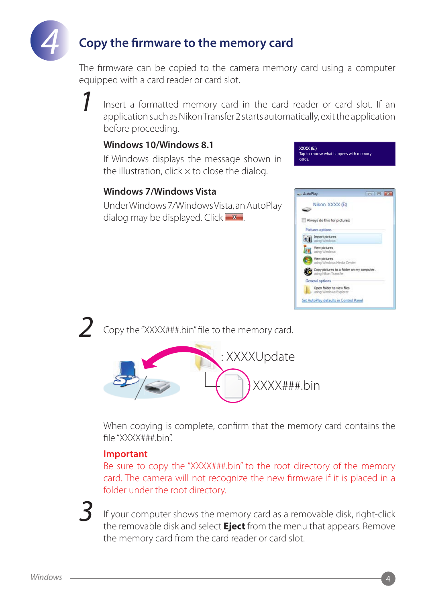

# *4* **Copy the firmware to the memory card**

The firmware can be copied to the camera memory card using a computer equipped with a card reader or card slot.

*1* Insert a formatted memory card in the card reader or card slot. If an application such as Nikon Transfer 2 starts automatically, exit the application before proceeding.

#### **Windows 10/Windows 8.1**

If Windows displays the message shown in the illustration, click  $\times$  to close the dialog.

#### **Windows 7/Windows Vista**

Under Windows 7/Windows Vista, an AutoPlay dialog may be displayed. Click  $\mathbf{x}$ 



XXXX (E:)

*2* Copy the "XXXX###.bin" file to the memory card.



When copying is complete, confirm that the memory card contains the file "XXXX###.bin".

#### **Important**

Be sure to copy the "XXXX###.bin" to the root directory of the memory card. The camera will not recognize the new firmware if it is placed in a folder under the root directory.

*3* If your computer shows the memory card as a removable disk, right-click the removable disk and select **Eject** from the menu that appears. Remove the memory card from the card reader or card slot.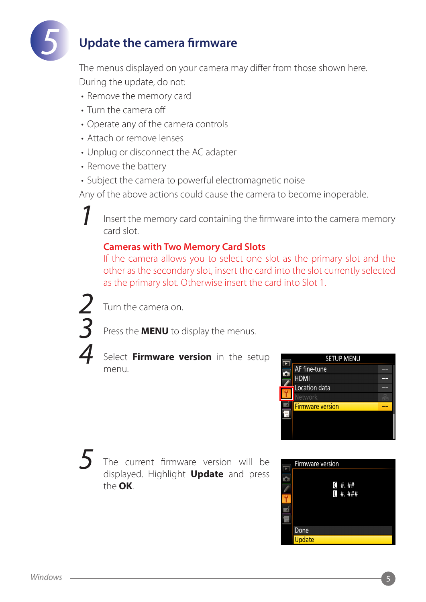

# *5* **Update the camera firmware**

The menus displayed on your camera may differ from those shown here. During the update, do not:

- Remove the memory card
- Turn the camera off
- Operate any of the camera controls
- Attach or remove lenses
- Unplug or disconnect the AC adapter
- Remove the battery
- Subject the camera to powerful electromagnetic noise

Any of the above actions could cause the camera to become inoperable.

*1* Insert the memory card containing the firmware into the camera memory card slot.

### **Cameras with Two Memory Card Slots**

If the camera allows you to select one slot as the primary slot and the other as the secondary slot, insert the card into the slot currently selected as the primary slot. Otherwise insert the card into Slot 1.



*2* Turn the camera on.

Press the **MENU** to display the menus.

```
4 Select Firmware version in the setup 
menu.
```


The current firmware version will be displayed. Highlight **Update** and press the **OK**.